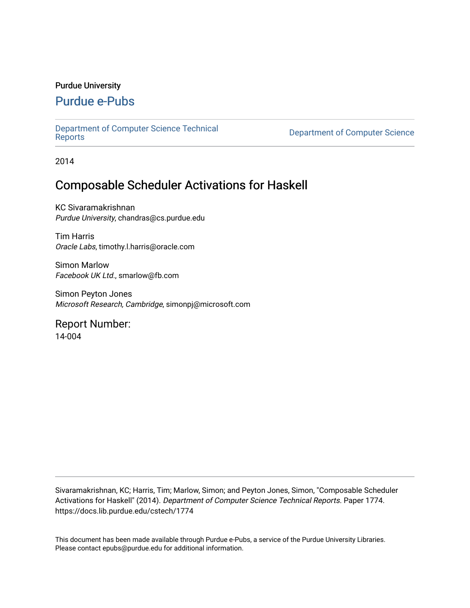# Purdue University

# Purdue e-Pubs

Department of Computer Science Technical

Department of Computer Science

2014

# Composable Scheduler Activations for Haskell

KC Sivaramakrishnan Purdue University, chandras@cs.purdue.edu

Tim Harris Oracle Labs, timothy.l.harris@oracle.com

Simon Marlow Facebook UK Ltd., smarlow@fb.com

Simon Peyton Jones Microsoft Research, Cambridge, simonpj@microsoft.com

Report Number: 14-004

Sivaramakrishnan, KC; Harris, Tim; Marlow, Simon; and Peyton Jones, Simon, "Composable Scheduler Activations for Haskell" (2014). Department of Computer Science Technical Reports. Paper 1774. https://docs.lib.purdue.edu/cstech/1774

This document has been made available through Purdue e-Pubs, a service of the Purdue University Libraries. Please contact epubs@purdue.edu for additional information.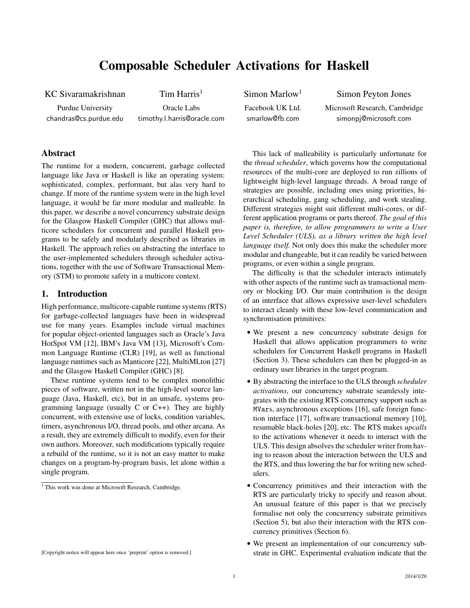# Composable Scheduler Activations for Haskell

KC Sivaramakrishnan

Purdue University chandras@cs.purdue.edu

Tim Harris<sup>1</sup> Oracle Labs timothy.l.harris@oracle.com

Abstract

The runtime for a modern, concurrent, garbage collected language like Java or Haskell is like an operating system: sophisticated, complex, performant, but alas very hard to change. If more of the runtime system were in the high level language, it would be far more modular and malleable. In this paper, we describe a novel concurrency substrate design for the Glasgow Haskell Compiler (GHC) that allows multicore schedulers for concurrent and parallel Haskell programs to be safely and modularly described as libraries in Haskell. The approach relies on abstracting the interface to the user-implemented schedulers through scheduler activations, together with the use of Software Transactional Memory (STM) to promote safety in a multicore context.

# 1. Introduction

High performance, multicore-capable runtime systems (RTS) for garbage-collected languages have been in widespread use for many years. Examples include virtual machines for popular object-oriented languages such as Oracle's Java HotSpot VM [12], IBM's Java VM [13], Microsoft's Common Language Runtime (CLR) [19], as well as functional language runtimes such as Manticore [22], MultiMLton [27] and the Glasgow Haskell Compiler (GHC) [8].

These runtime systems tend to be complex monolithic pieces of software, written not in the high-level source language (Java, Haskell, etc), but in an unsafe, systems programming language (usually  $C$  or  $C_{++}$ ). They are highly concurrent, with extensive use of locks, condition variables, timers, asynchronous I/O, thread pools, and other arcana. As a result, they are extremely difficult to modify, even for their own authors. Moreover, such modifications typically require a rebuild of the runtime, so it is not an easy matter to make changes on a program-by-program basis, let alone within a single program.

Simon Marlow<sup>1</sup> Facebook UK Ltd. smarlow@fb.com

Simon Peyton Jones Microsoft Research, Cambridge simonpj@microsoft.com

This lack of malleability is particularly unfortunate for the *thread scheduler*, which governs how the computational resources of the multi-core are deployed to run zillions of lightweight high-level language threads. A broad range of strategies are possible, including ones using priorities, hierarchical scheduling, gang scheduling, and work stealing. Different strategies might suit different multi-cores, or different application programs or parts thereof. *The goal of this paper is, therefore, to allow programmers to write a User Level Scheduler (ULS), as a library written the high level language itself.* Not only does this make the scheduler more modular and changeable, but it can readily be varied between programs, or even within a single program.

The difficulty is that the scheduler interacts intimately with other aspects of the runtime such as transactional memory or blocking I/O. Our main contribution is the design of an interface that allows expressive user-level schedulers to interact cleanly with these low-level communication and synchronisation primitives:

- We present a new concurrency substrate design for Haskell that allows application programmers to write schedulers for Concurrent Haskell programs in Haskell (Section 3). These schedulers can then be plugged-in as ordinary user libraries in the target program.
- By abstracting the interface to the ULS through *scheduler activations*, our concurrency substrate seamlessly integrates with the existing RTS concurrency support such as MVars, asynchronous exceptions [16], safe foreign function interface [17], software transactional memory [10], resumable black-holes [20], etc. The RTS makes *upcalls* to the activations whenever it needs to interact with the ULS. This design absolves the scheduler writer from having to reason about the interaction between the ULS and the RTS, and thus lowering the bar for writing new schedulers.
- Concurrency primitives and their interaction with the RTS are particularly tricky to specify and reason about. An unusual feature of this paper is that we precisely formalise not only the concurrency substrate primitives (Section 5), but also their interaction with the RTS concurrency primitives (Section 6).
- We present an implementation of our concurrency substrate in GHC. Experimental evaluation indicate that the

<sup>&</sup>lt;sup>1</sup> This work was done at Microsoft Research, Cambridge.

<sup>[</sup>Copyright notice will appear here once 'preprint' option is removed.]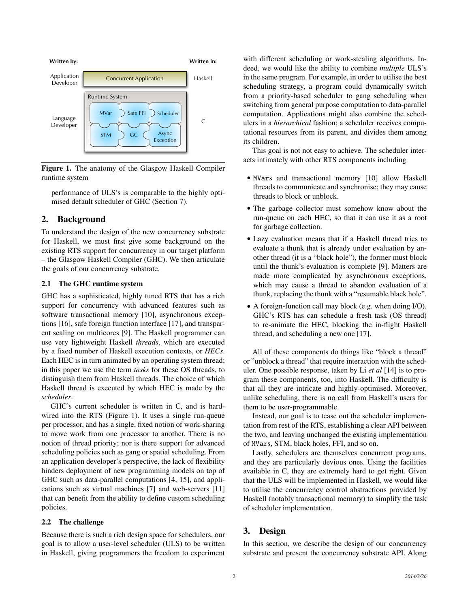

Figure 1. The anatomy of the Glasgow Haskell Compiler runtime system

performance of ULS's is comparable to the highly optimised default scheduler of GHC (Section 7).

# 2. Background

To understand the design of the new concurrency substrate for Haskell, we must first give some background on the existing RTS support for concurrency in our target platform – the Glasgow Haskell Compiler (GHC). We then articulate the goals of our concurrency substrate.

#### 2.1 The GHC runtime system

GHC has a sophisticated, highly tuned RTS that has a rich support for concurrency with advanced features such as software transactional memory [10], asynchronous exceptions [16], safe foreign function interface [17], and transparent scaling on multicores [9]. The Haskell programmer can use very lightweight Haskell *threads*, which are executed by a fixed number of Haskell execution contexts, or *HECs*. Each HEC is in turn animated by an operating system thread; in this paper we use the term *tasks* for these OS threads, to distinguish them from Haskell threads. The choice of which Haskell thread is executed by which HEC is made by the *scheduler*.

GHC's current scheduler is written in C, and is hardwired into the RTS (Figure 1). It uses a single run-queue per processor, and has a single, fixed notion of work-sharing to move work from one processor to another. There is no notion of thread priority; nor is there support for advanced scheduling policies such as gang or spatial scheduling. From an application developer's perspective, the lack of flexibility hinders deployment of new programming models on top of GHC such as data-parallel computations [4, 15], and applications such as virtual machines [7] and web-servers [11] that can benefit from the ability to define custom scheduling policies.

#### 2.2 The challenge

Because there is such a rich design space for schedulers, our goal is to allow a user-level scheduler (ULS) to be written in Haskell, giving programmers the freedom to experiment

with different scheduling or work-stealing algorithms. Indeed, we would like the ability to combine *multiple* ULS's in the same program. For example, in order to utilise the best scheduling strategy, a program could dynamically switch from a priority-based scheduler to gang scheduling when switching from general purpose computation to data-parallel computation. Applications might also combine the schedulers in a *hierarchical* fashion; a scheduler receives computational resources from its parent, and divides them among its children.

This goal is not not easy to achieve. The scheduler interacts intimately with other RTS components including

- MVars and transactional memory [10] allow Haskell threads to communicate and synchronise; they may cause threads to block or unblock.
- The garbage collector must somehow know about the run-queue on each HEC, so that it can use it as a root for garbage collection.
- Lazy evaluation means that if a Haskell thread tries to evaluate a thunk that is already under evaluation by another thread (it is a "black hole"), the former must block until the thunk's evaluation is complete [9]. Matters are made more complicated by asynchronous exceptions, which may cause a thread to abandon evaluation of a thunk, replacing the thunk with a "resumable black hole".
- A foreign-function call may block (e.g. when doing I/O). GHC's RTS has can schedule a fresh task (OS thread) to re-animate the HEC, blocking the in-flight Haskell thread, and scheduling a new one [17].

All of these components do things like "block a thread" or "unblock a thread" that require interaction with the scheduler. One possible response, taken by Li *et al* [14] is to program these components, too, into Haskell. The difficulty is that all they are intricate and highly-optimised. Moreover, unlike scheduling, there is no call from Haskell's users for them to be user-programmable.

Instead, our goal is to tease out the scheduler implementation from rest of the RTS, establishing a clear API between the two, and leaving unchanged the existing implementation of MVars, STM, black holes, FFI, and so on.

Lastly, schedulers are themselves concurrent programs, and they are particularly devious ones. Using the facilities available in C, they are extremely hard to get right. Given that the ULS will be implemented in Haskell, we would like to utilise the concurrency control abstractions provided by Haskell (notably transactional memory) to simplify the task of scheduler implementation.

# 3. Design

In this section, we describe the design of our concurrency substrate and present the concurrency substrate API. Along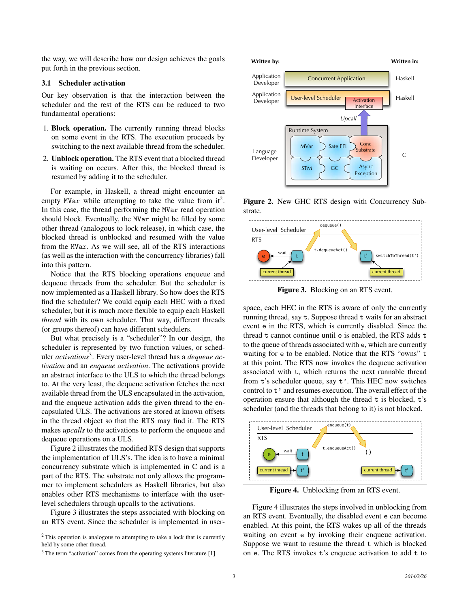the way, we will describe how our design achieves the goals put forth in the previous section.

#### 3.1 Scheduler activation

Our key observation is that the interaction between the scheduler and the rest of the RTS can be reduced to two fundamental operations:

- 1. Block operation. The currently running thread blocks on some event in the RTS. The execution proceeds by switching to the next available thread from the scheduler.
- 2. Unblock operation. The RTS event that a blocked thread is waiting on occurs. After this, the blocked thread is resumed by adding it to the scheduler.

For example, in Haskell, a thread might encounter an empty MVar while attempting to take the value from it<sup>2</sup>. In this case, the thread performing the MVar read operation should block. Eventually, the MVar might be filled by some other thread (analogous to lock release), in which case, the blocked thread is unblocked and resumed with the value from the MVar. As we will see, all of the RTS interactions (as well as the interaction with the concurrency libraries) fall into this pattern.

Notice that the RTS blocking operations enqueue and dequeue threads from the scheduler. But the scheduler is now implemented as a Haskell library. So how does the RTS find the scheduler? We could equip each HEC with a fixed scheduler, but it is much more flexible to equip each Haskell *thread* with its own scheduler. That way, different threads (or groups thereof) can have different schedulers.

But what precisely is a "scheduler"? In our design, the scheduler is represented by two function values, or scheduler *activations*<sup>3</sup> . Every user-level thread has a *dequeue activation* and an *enqueue activation*. The activations provide an abstract interface to the ULS to which the thread belongs to. At the very least, the dequeue activation fetches the next available thread from the ULS encapsulated in the activation, and the enqueue activation adds the given thread to the encapsulated ULS. The activations are stored at known offsets in the thread object so that the RTS may find it. The RTS makes *upcalls* to the activations to perform the enqueue and dequeue operations on a ULS.

Figure 2 illustrates the modified RTS design that supports the implementation of ULS's. The idea is to have a minimal concurrency substrate which is implemented in C and is a part of the RTS. The substrate not only allows the programmer to implement schedulers as Haskell libraries, but also enables other RTS mechanisms to interface with the userlevel schedulers through upcalls to the activations.

Figure 3 illustrates the steps associated with blocking on an RTS event. Since the scheduler is implemented in user-



Figure 2. New GHC RTS design with Concurrency Substrate.



Figure 3. Blocking on an RTS event.

space, each HEC in the RTS is aware of only the currently running thread, say t. Suppose thread t waits for an abstract event e in the RTS, which is currently disabled. Since the thread t cannot continue until e is enabled, the RTS adds t to the queue of threads associated with e, which are currently waiting for e to be enabled. Notice that the RTS "owns" t at this point. The RTS now invokes the dequeue activation associated with t, which returns the next runnable thread from t's scheduler queue, say t'. This HEC now switches control to t' and resumes execution. The overall effect of the operation ensure that although the thread  $t$  is blocked,  $t$ 's scheduler (and the threads that belong to it) is not blocked.



Figure 4. Unblocking from an RTS event.

Figure 4 illustrates the steps involved in unblocking from an RTS event. Eventually, the disabled event e can become enabled. At this point, the RTS wakes up all of the threads waiting on event e by invoking their enqueue activation. Suppose we want to resume the thread t which is blocked on e. The RTS invokes t's enqueue activation to add t to

 $2$  This operation is analogous to attempting to take a lock that is currently held by some other thread.

<sup>&</sup>lt;sup>3</sup> The term "activation" comes from the operating systems literature [1]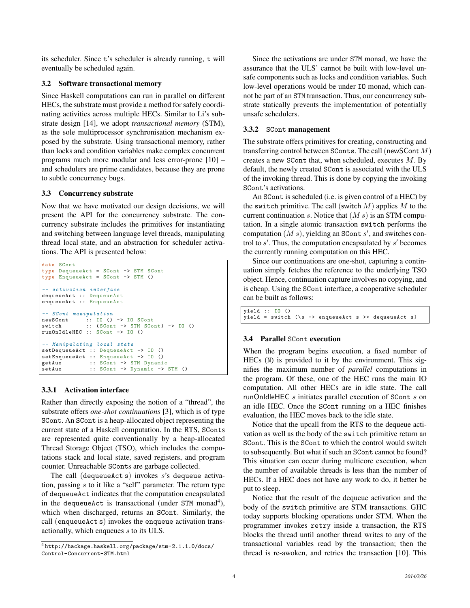its scheduler. Since t's scheduler is already running, t will eventually be scheduled again.

## 3.2 Software transactional memory

Since Haskell computations can run in parallel on different HECs, the substrate must provide a method for safely coordinating activities across multiple HECs. Similar to Li's substrate design [14], we adopt *transactional memory* (STM), as the sole multiprocessor synchronisation mechanism exposed by the substrate. Using transactional memory, rather than locks and condition variables make complex concurrent programs much more modular and less error-prone [10] – and schedulers are prime candidates, because they are prone to subtle concurrency bugs.

# 3.3 Concurrency substrate

Now that we have motivated our design decisions, we will present the API for the concurrency substrate. The concurrency substrate includes the primitives for instantiating and switching between language level threads, manipulating thread local state, and an abstraction for scheduler activations. The API is presented below:

```
data SCont
type DequeueAct = SCont -> STM SCont
type EnqueueAct = SCont -> STM ()
-- activation interface
dequeueAct :: DequeueAct
enqueueAct :: EnqueueAct
-- SCont manipulation<br>newSCont :: IO ()
                newSCont :: IO () -> IO SCont
switch :: (SCont -> STM SCont) -> IO ()
runOnIdleHEC :: SCont -> IO ()
-- Manipulating local state
setDequeueAct :: DequeueAct -> IO ()
setEnqueueAct :: EnqueueAct -> IO ()<br>getAux :: SCont -> STM Dynami
                 :: SCont -> STM Dynamic
setAux :: SCont -> Dynamic -> STM ()
```
# 3.3.1 Activation interface

Rather than directly exposing the notion of a "thread", the substrate offers *one-shot continuations* [3], which is of type SCont. An SCont is a heap-allocated object representing the current state of a Haskell computation. In the RTS, SConts are represented quite conventionally by a heap-allocated Thread Storage Object (TSO), which includes the computations stack and local state, saved registers, and program counter. Unreachable SConts are garbage collected.

The call (dequeueAct s) invokes s's dequeue activation, passing  $s$  to it like a "self" parameter. The return type of dequeueAct indicates that the computation encapsulated in the dequeueAct is transactional (under STM monad<sup>4</sup>), which when discharged, returns an SCont. Similarly, the call (enqueueAct s) invokes the enqueue activation transactionally, which enqueues s to its ULS.

Since the activations are under STM monad, we have the assurance that the ULS' cannot be built with low-level unsafe components such as locks and condition variables. Such low-level operations would be under IO monad, which cannot be part of an STM transaction. Thus, our concurrency substrate statically prevents the implementation of potentially unsafe schedulers.

# 3.3.2 SCont management

The substrate offers primitives for creating, constructing and transferring control between SConts. The call (newSCont  $M$ ) creates a new SCont that, when scheduled, executes M. By default, the newly created SCont is associated with the ULS of the invoking thread. This is done by copying the invoking SCont's activations.

An SCont is scheduled (i.e. is given control of a HEC) by the switch primitive. The call (switch  $M$ ) applies  $M$  to the current continuation s. Notice that  $(M s)$  is an STM computation. In a single atomic transaction switch performs the computation  $(M s)$ , yielding an SCont s', and switches control to s'. Thus, the computation encapsulated by s' becomes the currently running computation on this HEC.

Since our continuations are one-shot, capturing a continuation simply fetches the reference to the underlying TSO object. Hence, continuation capture involves no copying, and is cheap. Using the SCont interface, a cooperative scheduler can be built as follows:

yield :: IO () yield = switch  $(\succeq s \rightarrow \text{enqueueAct} s \rightarrow \text{dequeueAct} s)$ 

# 3.4 Parallel SCont execution

When the program begins execution, a fixed number of HECs (N) is provided to it by the environment. This signifies the maximum number of *parallel* computations in the program. Of these, one of the HEC runs the main IO computation. All other HECs are in idle state. The call runOnIdleHEC s initiates parallel execution of SCont s on an idle HEC. Once the SCont running on a HEC finishes evaluation, the HEC moves back to the idle state.

Notice that the upcall from the RTS to the dequeue activation as well as the body of the switch primitive return an SCont. This is the SCont to which the control would switch to subsequently. But what if such an SCont cannot be found? This situation can occur during multicore execution, when the number of available threads is less than the number of HECs. If a HEC does not have any work to do, it better be put to sleep.

Notice that the result of the dequeue activation and the body of the switch primitive are STM transactions. GHC today supports blocking operations under STM. When the programmer invokes retry inside a transaction, the RTS blocks the thread until another thread writes to any of the transactional variables read by the transaction; then the thread is re-awoken, and retries the transaction [10]. This

 $^4\texttt{http://hackage.haskell.org/package/stm-2.1.1.0/docs/}$ Control-Concurrent-STM.html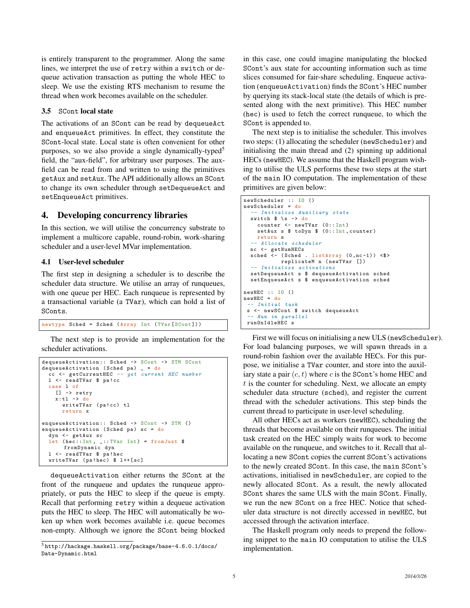is entirely transparent to the programmer. Along the same lines, we interpret the use of retry within a switch or dequeue activation transaction as putting the whole HEC to sleep. We use the existing RTS mechanism to resume the thread when work becomes available on the scheduler.

#### 3.5 SCont local state

The activations of an SCont can be read by dequeueAct and enqueueAct primitives. In effect, they constitute the SCont-local state. Local state is often convenient for other purposes, so we also provide a single dynamically-typed<sup>5</sup> field, the "aux-field", for arbitrary user purposes. The auxfield can be read from and written to using the primitives getAux and setAux. The API additionally allows an SCont to change its own scheduler through setDequeueAct and setEnqueueAct primitives.

## 4. Developing concurrency libraries

In this section, we will utilise the concurrency substrate to implement a multicore capable, round-robin, work-sharing scheduler and a user-level MVar implementation.

## 4.1 User-level scheduler

The first step in designing a scheduler is to describe the scheduler data structure. We utilise an array of runqueues, with one queue per HEC. Each runqueue is represented by a transactional variable (a TVar), which can hold a list of SConts.

 $newtype$  Sched = Sched ( $Array$  Int (TVar[SCont]))

The next step is to provide an implementation for the scheduler activations.

```
dequeueActivation :: Sched -> SCont -> STM SCont
dequeueActivation (Sched pa) = do cc <- getCurrentHEC -- get curren
                            get current HEC number
  l <- readTVar $ pa ! cc
  case l of
    [] -> retry
    x : tl -> do
      writeTVar (pa!cc) tl
       return x
enqueueActivation :: Sched -> SCont -> STM ()
enqueueActivation (Sched pa) sc = do
  dyn <- getAux sc
  let (\text{hec}:: Int, _:: TVar Int) = from Just $
       fromDynamic dyn
  l <- readTVar $ pa ! hec
  writeTVar (pa!hec) $ 1++[sc]
```
dequeueActivation either returns the SCont at the front of the runqueue and updates the runqueue appropriately, or puts the HEC to sleep if the queue is empty. Recall that performing retry within a dequeue activation puts the HEC to sleep. The HEC will automatically be woken up when work becomes available i.e. queue becomes non-empty. Although we ignore the SCont being blocked in this case, one could imagine manipulating the blocked SCont's aux state for accounting information such as time slices consumed for fair-share scheduling. Enqueue activation (enqueueActivation) finds the SCont's HEC number by querying its stack-local state (the details of which is presented along with the next primitive). This HEC number (hec) is used to fetch the correct runqueue, to which the SCont is appended to.

The next step is to initialise the scheduler. This involves two steps: (1) allocating the scheduler (newScheduler) and initialising the main thread and (2) spinning up additional HECs (newHEC). We assume that the Haskell program wishing to utilise the ULS performs these two steps at the start of the main IO computation. The implementation of these primitives are given below:

```
newScheduler :: IO ()
newScheduler = do
    Initialise Auxiliary state
  switch \frac{6}{5} \s -> do
    counter <- newTVar (0::Int)
    setAux s $ toDyn $ (0:: Int , counter )
    return s
  -- Allocate scheduler
  nc <- getNumHECs
  sched <- (Sched . listArray (0,nc-1)) <$>
           replicateM n ( newTVar [])
     Initialise activations
  setDequeueAct s $ dequeueActivation sched
  setEnqueueAct s $ enqueueActivation sched
newHEC :: IO ()
newHEC = do
 -- Initial task
 s <- newSCont $ switch dequeueAct
  -- Run in parallel
 runOnIdleHEC s
```
First we will focus on initialising a new ULS (newScheduler). For load balancing purposes, we will spawn threads in a round-robin fashion over the available HECs. For this purpose, we initialise a TVar counter, and store into the auxiliary state a pair  $(c, t)$  where c is the SCont's home HEC and  $t$  is the counter for scheduling. Next, we allocate an empty scheduler data structure (sched), and register the current thread with the scheduler activations. This step binds the current thread to participate in user-level scheduling.

All other HECs act as workers (newHEC), scheduling the threads that become available on their runqueues. The initial task created on the HEC simply waits for work to become available on the runqueue, and switches to it. Recall that allocating a new SCont copies the current SCont's activations to the newly created SCont. In this case, the main SCont's activations, initialised in newScheduler, are copied to the newly allocated SCont. As a result, the newly allocated SCont shares the same ULS with the main SCont. Finally, we run the new SCont on a free HEC. Notice that scheduler data structure is not directly accessed in newHEC, but accessed through the activation interface.

The Haskell program only needs to prepend the following snippet to the main IO computation to utilise the ULS implementation.

 $^{5}\mathrm{http://hackage.haskell.org/package/base-4.6.0.1/docs/}$ Data-Dynamic.html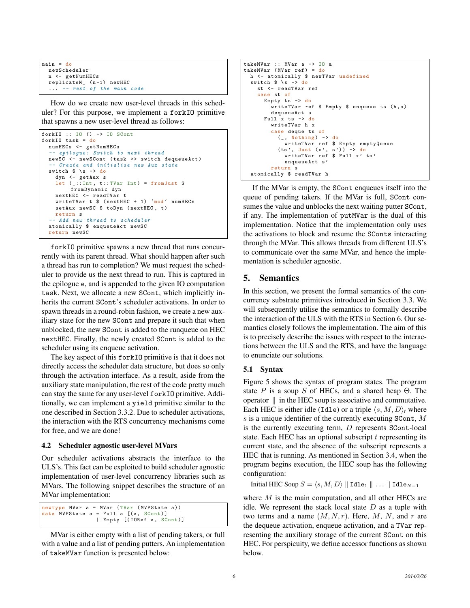```
min = donewScheduler
 n <- getNumHECs
 replicateM_ (n -1) newHEC
     -- rest of the main code
```
How do we create new user-level threads in this scheduler? For this purpose, we implement a forkIO primitive that spawns a new user-level thread as follows:

```
forkIO :: IO () -> IO SCont
forkIO task = do
  numHECs <- getNumHECs
    - epiloque: Switch to next thread
  newSC <- newSCont ( task >> switch dequeueAct )
  -- Create and initialise new Aux state
  switch \frac{1}{2} \s -> do
    dyn <- getAux s
    let (\_ : : \mathsf{Int}, \mathsf{t} : : \mathsf{TVar} \mathsf{Int}) = \mathsf{fromJust} $
          fromDynamic dyn
    nextHEC <- readTVar t
    writeTVar t $ ( nextHEC + 1) 'mod ' numHECs
    setAux newSC $ toDyn (nextHEC, t)
    return s
  -- Add new thread to scheduler
  atomically $ enqueueAct newSC
  return newSC
```
forkIO primitive spawns a new thread that runs concurrently with its parent thread. What should happen after such a thread has run to completion? We must request the scheduler to provide us the next thread to run. This is captured in the epilogue e, and is appended to the given IO computation task. Next, we allocate a new SCont, which implicitly inherits the current SCont's scheduler activations. In order to spawn threads in a round-robin fashion, we create a new auxiliary state for the new SCont and prepare it such that when unblocked, the new SCont is added to the runqueue on HEC nextHEC. Finally, the newly created SCont is added to the scheduler using its enqueue activation.

The key aspect of this forkIO primitive is that it does not directly access the scheduler data structure, but does so only through the activation interface. As a result, aside from the auxiliary state manipulation, the rest of the code pretty much can stay the same for any user-level forkIO primitive. Additionally, we can implement a yield primitive similar to the one described in Section 3.3.2. Due to scheduler activations, the interaction with the RTS concurrency mechanisms come for free, and we are done!

#### 4.2 Scheduler agnostic user-level MVars

Our scheduler activations abstracts the interface to the ULS's. This fact can be exploited to build scheduler agnostic implementation of user-level concurrency libraries such as MVars. The following snippet describes the structure of an MVar implementation:

```
newtype MVar a = MVar (TVar (MVPState a))
data MVPState a = Full a [(a + S(\text{cont}))]| Empty [(IORef a, SCont)]
```
MVar is either empty with a list of pending takers, or full with a value and a list of pending putters. An implementation of takeMVar function is presented below:

```
takeMVar :: MVar a -> IO a
takeMVar ( MVar ref ) = do
 h <- atomically $ newTVar undefined
  switch \frac{1}{2} \s -> do
    st <- readTVar ref
    case st of
      Empty ts -> do
         writeTVar ref $ Empty $ enqueue ts (h,s)
         dequeueAct s
      Full x ts -> do
         writeTVar h x
         case deque ts of
           (, Nothing ) -> do
             writeTVar ref $ Empty emptyQueue
           (ts', Just (x', s')) -> do<br>writeTVar ref $ Full x' ts'
             enqueueAct s '
         return s
  atomically $ readTVar h
```
If the MVar is empty, the SCont enqueues itself into the queue of pending takers. If the MVar is full, SCont consumes the value and unblocks the next waiting putter SCont, if any. The implementation of putMVar is the dual of this implementation. Notice that the implementation only uses the activations to block and resume the SConts interacting through the MVar. This allows threads from different ULS's to communicate over the same MVar, and hence the implementation is scheduler agnostic.

# 5. Semantics

In this section, we present the formal semantics of the concurrency substrate primitives introduced in Section 3.3. We will subsequently utilise the semantics to formally describe the interaction of the ULS with the RTS in Section 6. Our semantics closely follows the implementation. The aim of this is to precisely describe the issues with respect to the interactions between the ULS and the RTS, and have the language to enunciate our solutions.

## 5.1 Syntax

Figure 5 shows the syntax of program states. The program state P is a soup S of HECs, and a shared heap  $\Theta$ . The operator  $\parallel$  in the HEC soup is associative and commutative. Each HEC is either idle (Idle) or a triple  $\langle s, M, D \rangle_t$  where s is a unique identifier of the currently executing SCont, M is the currently executing term, D represents SCont-local state. Each HEC has an optional subscript  $t$  representing its current state, and the absence of the subscript represents a HEC that is running. As mentioned in Section 3.4, when the program begins execution, the HEC soup has the following configuration:

Initial HEC Soup  $S = \langle s, M, D \rangle \parallel$  Idle<sub>1</sub>  $\parallel \ldots \parallel$  Idle<sub>N−1</sub>

where  $M$  is the main computation, and all other HECs are idle. We represent the stack local state  $D$  as a tuple with two terms and a name  $(M, N, r)$ . Here, M, N, and r are the dequeue activation, enqueue activation, and a TVar representing the auxiliary storage of the current SCont on this HEC. For perspicuity, we define accessor functions as shown below.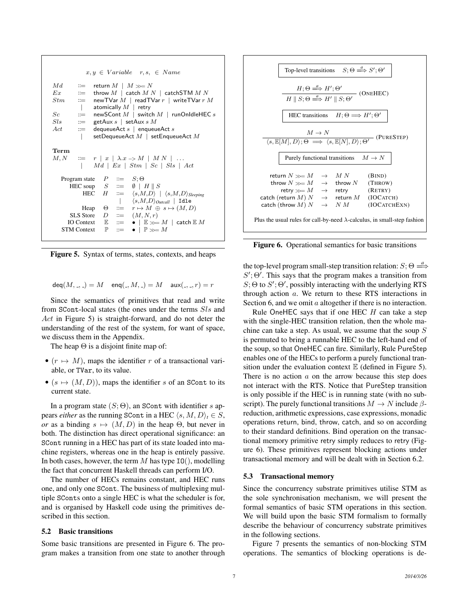```
x, y \in Variable r, s, \in NameMd ::= return M \mid M \gg NEx \therefore throw M \mid catch M N \mid catchs M N N<br>Stm \therefore new TVar M \mid read TVar r \mid write TVar r \mid\mathbb{S} == \quad \text{newTVar } M \mid \text{readTVar } r \mid \text{writeTVar } r \; M| atomically M \perp retry
Sc ::= newSCont M | switch M | runOnIdleHEC s<br>Sls ::= getAux s | setAux s M\equiv getAux s | setAux s M
Act ::= dequeueAct s | enqueueAct s
                | setDequeueAct M | setEnqueueAct MTerm
M, N \cong r | x | \lambda x \rightarrow M | M N | \dots| Md | Ex | Stm | Sc | Sls | Act
     Program state P ::= S; \Theta<br>HEC soup S ::= \emptysetHEC soup S := \emptyset | H \parallel S<br>HEC H := \langle s, M, D \rangle\begin{array}{rcl} ::= & \langle s, M, D \rangle \mid \langle s, M, D \rangle_{Sleeping} \ & & \langle s, M, D \rangle_{\text{Outcall}} \mid \text{Idle} \end{array}\langle s, M, D \rangle_{\textit{Outcall}} | Idle
          Heap \Theta ::= r \mapsto M \oplus s \mapsto (M, D)<br>SLS Store D ::= (M, N, r)SLS Store D := (M, N, r)<br>IO Context \mathbb{E} := \bullet | \mathbb{E} \gg \infty\Xi = \bullet \mid \mathbb{E} \ggg M \mid \mathsf{catch} \mathbb{E} MSTM Context \mathbb{P} ::= \bullet | \mathbb{P} \gg \sim M
```
Figure 5. Syntax of terms, states, contexts, and heaps

$$
\deg(M, \_, \_) = M \quad \text{eng}(\_, M, \_) = M \quad \text{aux}(\_, \_, r) = r
$$

Since the semantics of primitives that read and write from SCont-local states (the ones under the terms Sls and Act in Figure 5) is straight-forward, and do not deter the understanding of the rest of the system, for want of space, we discuss them in the Appendix.

The heap  $\Theta$  is a disjoint finite map of:

- $(r \mapsto M)$ , maps the identifier r of a transactional variable, or TVar, to its value.
- $(s \mapsto (M, D))$ , maps the identifier s of an SCont to its current state.

In a program state  $(S, \Theta)$ , an SCont with identifier s appears *either* as the running SCont in a HEC  $\langle s, M, D \rangle_t \in S$ , *or* as a binding  $s \mapsto (M, D)$  in the heap  $\Theta$ , but never in both. The distinction has direct operational significance: an SCont running in a HEC has part of its state loaded into machine registers, whereas one in the heap is entirely passive. In both cases, however, the term M has type  $IO($ ), modelling the fact that concurrent Haskell threads can perform I/O.

The number of HECs remains constant, and HEC runs one, and only one SCont. The business of multiplexing multiple SConts onto a single HEC is what the scheduler is for, and is organised by Haskell code using the primitives described in this section.

#### 5.2 Basic transitions

Some basic transitions are presented in Figure 6. The program makes a transition from one state to another through



Figure 6. Operational semantics for basic transitions

the top-level program small-step transition relation:  $S$ ;  $\Theta \stackrel{a}{\Longrightarrow}$  $S'$ ;  $\Theta'$ . This says that the program makes a transition from  $S$ ;  $\Theta$  to  $S'$ ;  $\Theta'$ , possibly interacting with the underlying RTS through action a. We return to these RTS interactions in Section 6, and we omit *a* altogether if there is no interaction.

Rule OneHEC says that if one HEC  $H$  can take a step with the single-HEC transition relation, then the whole machine can take a step. As usual, we assume that the soup  $S$ is permuted to bring a runnable HEC to the left-hand end of the soup, so that OneHEC can fire. Similarly, Rule PureStep enables one of the HECs to perform a purely functional transition under the evaluation context  $E$  (defined in Figure 5). There is no action  $a$  on the arrow because this step does not interact with the RTS. Notice that PureStep transition is only possible if the HEC is in running state (with no subscript). The purely functional transitions  $M \to N$  include  $\beta$ reduction, arithmetic expressions, case expressions, monadic operations return, bind, throw, catch, and so on according to their standard definitions. Bind operation on the transactional memory primitive retry simply reduces to retry (Figure 6). These primitives represent blocking actions under transactional memory and will be dealt with in Section 6.2.

#### 5.3 Transactional memory

Since the concurrency substrate primitives utilise STM as the sole synchronisation mechanism, we will present the formal semantics of basic STM operations in this section. We will build upon the basic STM formalism to formally describe the behaviour of concurrency substrate primitives in the following sections.

Figure 7 presents the semantics of non-blocking STM operations. The semantics of blocking operations is de-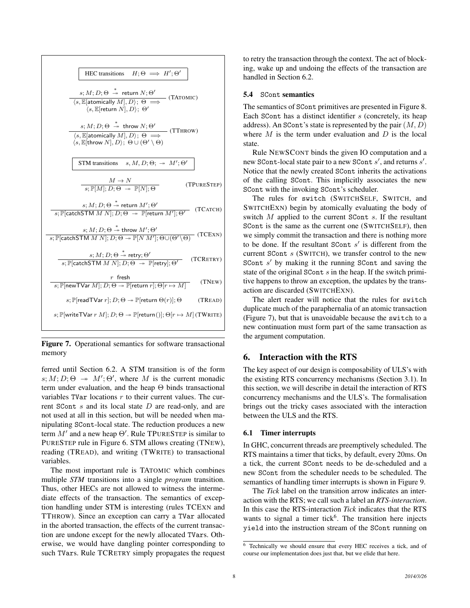| HEC transitions                                                                                 | $H$ ; $\Theta \implies H'$ ; $\Theta'$ |
|-------------------------------------------------------------------------------------------------|----------------------------------------|
| $s$ ; $M$ ; $D$ ; $\Theta \rightarrow$ return $N$ ; $\Theta'$                                   |                                        |
| $\langle s, \mathbb{E}[\text{atomically } M], D \rangle$ ; $\Theta \implies$                    |                                        |
| $\langle s, \mathbb{E}[\text{return } N], D \rangle$ ; $\Theta'$                                |                                        |
| $s$ ; $M$ ; $D$ ; $\Theta \rightarrow$ throw $N$ ; $\Theta'$                                    |                                        |
| $\langle s, \mathbb{E}[\text{tbinically } M], D \rangle$ ; $\Theta \implies$                    |                                        |
| $\langle s, \mathbb{E}[\text{tthrow } N], D \rangle$ ; $\Theta \cup (\Theta' \setminus \Theta)$ |                                        |

\n**STM transitions**

\n $s, M, D$ ;  $\Theta$ ;  $\rightarrow M'$ ;  $\Theta'$ 

\n $\frac{M \rightarrow N}{s; \mathbb{P}[M]; D; \Theta \rightarrow \mathbb{P}[N]; \Theta}$ 

\n $\frac{s; M; D; \Theta \rightarrow \text{return } M'; \Theta' \quad \text{(TPURESTEP)}$ 

\n $s; M; D; \Theta \rightarrow \text{return } M'; \Theta'$ 

\n $s; \mathbb{P}[\text{catchSTM } M \text{ } N]; D; \Theta \rightarrow \mathbb{P}[\text{return } M']; \Theta' \quad \text{(TCEXPN)}$ 

\n $s; M; D; \Theta \rightarrow \text{trow } M'; \Theta'$ 

\n $s; \mathbb{P}[\text{catchSTM } M \text{ } N]; D; \Theta \rightarrow \mathbb{P}[\text{return } N']; \Theta \cup (\Theta' \setminus \Theta)$ 

\n $s; \mathbb{P}[\text{catchSTM } M \text{ } N]; D; \Theta \rightarrow \mathbb{P}[\text{return } \text{P}]\}$ 

\n $\text{r} \text{ fresh}$ 

\n $s; \mathbb{P}[\text{neuTVar } M]$ ;  $D;$ 

Figure 7. Operational semantics for software transactional memory

ferred until Section 6.2. A STM transition is of the form  $s; M; D; \Theta \rightarrow M'; \Theta'$ , where M is the current monadic term under evaluation, and the heap Θ binds transactional variables TVar locations  $r$  to their current values. The current SCont s and its local state D are read-only, and are not used at all in this section, but will be needed when manipulating SCont-local state. The reduction produces a new term  $M'$  and a new heap  $\Theta'$ . Rule TPURESTEP is similar to PURESTEP rule in Figure 6. STM allows creating (TNEW), reading (TREAD), and writing (TWRITE) to transactional variables.

The most important rule is TATOMIC which combines multiple *STM* transitions into a single *program* transition. Thus, other HECs are not allowed to witness the intermediate effects of the transaction. The semantics of exception handling under STM is interesting (rules TCEXN and TTHROW). Since an exception can carry a TVar allocated in the aborted transaction, the effects of the current transaction are undone except for the newly allocated TVars. Otherwise, we would have dangling pointer corresponding to such TVars. Rule TCRETRY simply propagates the request to retry the transaction through the context. The act of blocking, wake up and undoing the effects of the transaction are handled in Section 6.2.

#### 5.4 SCont semantics

The semantics of SCont primitives are presented in Figure 8. Each SCont has a distinct identifier s (concretely, its heap address). An SCont's state is represented by the pair  $(M, D)$ where  $M$  is the term under evaluation and  $D$  is the local state.

Rule NEWSCONT binds the given IO computation and a new SCont-local state pair to a new SCont  $s'$ , and returns  $s'$ . Notice that the newly created SCont inherits the activations of the calling SCont. This implicitly associates the new SCont with the invoking SCont's scheduler.

The rules for switch (SWITCHSELF, SWITCH, and SWITCHEXN) begin by atomically evaluating the body of switch M applied to the current SCont s. If the resultant SCont is the same as the current one (SWITCHSELF), then we simply commit the transaction and there is nothing more to be done. If the resultant SCont  $s'$  is different from the current SCont s (SWITCH), we transfer control to the new SCont s' by making it the running SCont and saving the state of the original SCont s in the heap. If the switch primitive happens to throw an exception, the updates by the transaction are discarded (SWITCHEXN).

The alert reader will notice that the rules for switch duplicate much of the paraphernalia of an atomic transaction (Figure 7), but that is unavoidable because the switch to a new continuation must form part of the same transaction as the argument computation.

## 6. Interaction with the RTS

The key aspect of our design is composability of ULS's with the existing RTS concurrency mechanisms (Section 3.1). In this section, we will describe in detail the interaction of RTS concurrency mechanisms and the ULS's. The formalisation brings out the tricky cases associated with the interaction between the ULS and the RTS.

#### 6.1 Timer interrupts

In GHC, concurrent threads are preemptively scheduled. The RTS maintains a timer that ticks, by default, every 20ms. On a tick, the current SCont needs to be de-scheduled and a new SCont from the scheduler needs to be scheduled. The semantics of handling timer interrupts is shown in Figure 9.

The *Tick* label on the transition arrow indicates an interaction with the RTS; we call such a label an *RTS-interaction*. In this case the RTS-interaction *Tick* indicates that the RTS wants to signal a timer tick<sup>6</sup>. The transition here injects yield into the instruction stream of the SCont running on

 $6$  Technically we should ensure that every HEC receives a tick, and of course our implementation does just that, but we elide that here.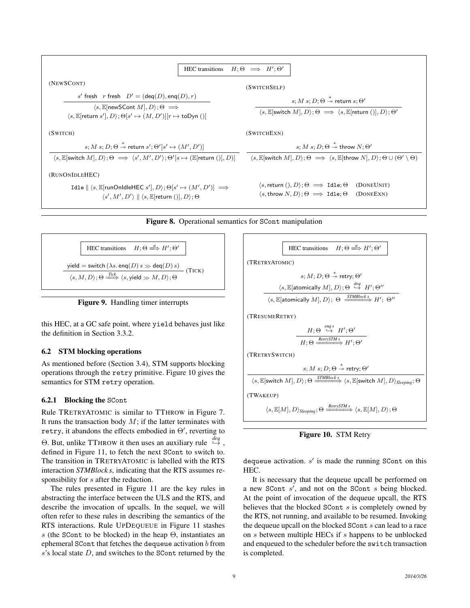

Figure 8. Operational semantics for SCont manipulation

| HEC transitions                                                                                                    | $H$ ; $\Theta \xrightarrow{a} H'$ ; $\Theta'$ |
|--------------------------------------------------------------------------------------------------------------------|-----------------------------------------------|
| yield = switch $(\lambda s. \text{eng}(D) s \gg \text{deg}(D) s)$                                                  | (TICK)                                        |
| $\langle s, M, D \rangle$ ; $\Theta \xrightarrow{\text{Tick}} \langle s, \text{yield} \gg M, D \rangle$ ; $\Theta$ |                                               |



this HEC, at a GC safe point, where yield behaves just like the definition in Section 3.3.2.

#### 6.2 STM blocking operations

As mentioned before (Section 3.4), STM supports blocking operations through the retry primitive. Figure 10 gives the semantics for STM retry operation.

#### 6.2.1 Blocking the SCont

Rule TRETRYATOMIC is similar to TTHROW in Figure 7. It runs the transaction body  $M$ ; if the latter terminates with retry, it abandons the effects embodied in Θ′ , reverting to Θ. But, unlike TTHROW it then uses an auxiliary rule  $\stackrel{deg}{\hookrightarrow}$ , defined in Figure 11, to fetch the next SCont to switch to. The transition in TRETRYATOMIC is labelled with the RTS interaction *STMBlock s*, indicating that the RTS assumes responsibility for s after the reduction.

The rules presented in Figure 11 are the key rules in abstracting the interface between the ULS and the RTS, and describe the invocation of upcalls. In the sequel, we will often refer to these rules in describing the semantics of the RTS interactions. Rule UPDEQUEUE in Figure 11 stashes s (the SCont to be blocked) in the heap  $\Theta$ , instantiates an ephemeral SCont that fetches the dequeue activation b from  $s$ 's local state  $D$ , and switches to the SCont returned by the



Figure 10. STM Retry

dequeue activation.  $s'$  is made the running SCont on this HEC.

It is necessary that the dequeue upcall be performed on a new SCont  $s'$ , and not on the SCont  $s$  being blocked. At the point of invocation of the dequeue upcall, the RTS believes that the blocked SCont s is completely owned by the RTS, not running, and available to be resumed. Invoking the dequeue upcall on the blocked SCont s can lead to a race on s between multiple HECs if s happens to be unblocked and enqueued to the scheduler before the switch transaction is completed.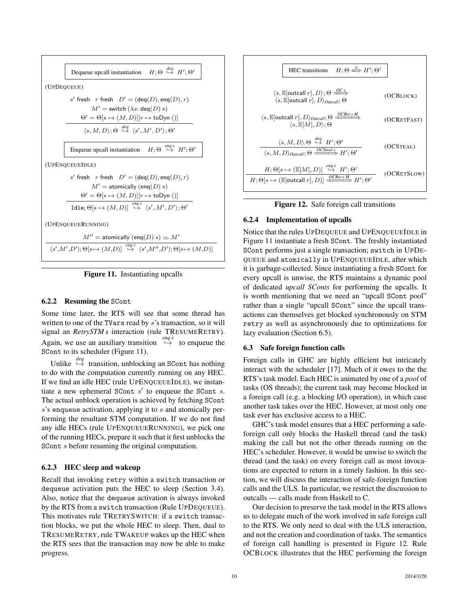| Dequeue upcall instantiation                                                                                                                         | $H$ ; $\Theta \stackrel{deg}{\hookrightarrow} H'$ ; $\Theta'$   |         |                                          |                                                    |
|------------------------------------------------------------------------------------------------------------------------------------------------------|-----------------------------------------------------------------|---------|------------------------------------------|----------------------------------------------------|
| (UPDEQUEUE)                                                                                                                                          | s' fresh                                                        | r fresh | $D' = (\text{deg}(D), \text{eng}(D), r)$ | $M' = \text{switch } (\lambda x. \text{deg}(D) s)$ |
| $\Theta' = \Theta[s \mapsto (M, D)][r \mapsto \text{toDyn } ()]$                                                                                     |                                                                 |         |                                          |                                                    |
| $\langle s, M, D \rangle$ ; $\Theta \stackrel{deg}{\hookrightarrow} \langle s', M', D' \rangle$ ; $\Theta'$                                          |                                                                 |         |                                          |                                                    |
| Enqueue upcall instantiation                                                                                                                         | $H$ ; $\Theta \stackrel{eng.s}{\hookrightarrow} H'$ ; $\Theta'$ |         |                                          |                                                    |
| (UPENQUEUEIDLE)                                                                                                                                      | s' fresh                                                        | r fresh | $D' = (\text{deg}(D), \text{eng}(D), r)$ | $M' = \text{atomically } (\text{eng}(D) s)$        |
| $\Theta' = \Theta[s \mapsto (M, D)][r \mapsto \text{toDyn } ()]$                                                                                     |                                                                 |         |                                          |                                                    |
| Idle; $\Theta[s \mapsto (M, D)] \stackrel{eng.s}{\hookrightarrow} \langle s', M', D' \rangle$ ; $\Theta'$                                            |                                                                 |         |                                          |                                                    |
| (UPENQUEUERUNNING)                                                                                                                                   | $M'' = \text{atomically } (\text{eng}(D) s) \gg M'$             |         |                                          |                                                    |
| $\langle s', M', D' \rangle$ ; $\Theta[s \mapsto (M, D)] \stackrel{eng.s}{\hookrightarrow} \langle s', M'', D' \rangle$ ; $\Theta[s \mapsto (M, D)]$ |                                                                 |         |                                          |                                                    |

Figure 11. Instantiating upcalls

## 6.2.2 Resuming the SCont

Some time later, the RTS will see that some thread has written to one of the TVars read by s's transaction, so it will signal an *RetrySTM s* interaction (rule TRESUMERETRY). Again, we use an auxiliary transition  $\stackrel{eng s}{\rightarrow}$  to enqueue the SCont to its scheduler (Figure 11).

Unlike  $\stackrel{deq}{\hookrightarrow}$  transition, unblocking an SCont has nothing to do with the computation currently running on any HEC. If we find an idle HEC (rule UPENQUEUEIDLE), we instantiate a new ephemeral SCont  $s'$  to enqueue the SCont  $s$ . The actual unblock operation is achieved by fetching SCont  $s$ 's enqueue activation, applying it to  $s$  and atomically performing the resultant STM computation. If we do not find any idle HECs (rule UPENQUEUERUNNING), we pick one of the running HECs, prepare it such that it first unblocks the SCont s before resuming the original computation.

# 6.2.3 HEC sleep and wakeup

Recall that invoking retry within a switch transaction or dequeue activation puts the HEC to sleep (Section 3.4). Also, notice that the dequeue activation is always invoked by the RTS from a switch transaction (Rule UPDEQUEUE). This motivates rule TRETRYSWITCH: if a switch transaction blocks, we put the whole HEC to sleep. Then, dual to TRESUMERETRY, rule TWAKEUP wakes up the HEC when the RTS sees that the transaction may now be able to make progress.





# 6.2.4 Implementation of upcalls

Notice that the rules UPDEQUEUE and UPENQUEUEIDLE in Figure 11 instantiate a fresh SCont. The freshly instantiated SCont performs just a single transaction; switch in UPDE-QUEUE and atomically in UPENQUEUEIDLE, after which it is garbage-collected. Since instantiating a fresh SCont for every upcall is unwise, the RTS maintains a dynamic pool of dedicated *upcall SConts* for performing the upcalls. It is worth mentioning that we need an "upcall SCont pool" rather than a single "upcall SCont" since the upcall transactions can themselves get blocked synchronously on STM retry as well as asynchronously due to optimizations for lazy evaluation (Section 6.5).

# 6.3 Safe foreign function calls

Foreign calls in GHC are highly efficient but intricately interact with the scheduler [17]. Much of it owes to the the RTS's task model. Each HEC is animated by one of a *pool* of tasks (OS threads); the current task may become blocked in a foreign call (e.g. a blocking I/O operation), in which case another task takes over the HEC. However, at most only one task ever has exclusive access to a HEC.

GHC's task model ensures that a HEC performing a safeforeign call only blocks the Haskell thread (and the task) making the call but not the other threads running on the HEC's scheduler. However, it would be unwise to switch the thread (and the task) on every foreign call as most invocations are expected to return in a timely fashion. In this section, we will discuss the interaction of safe-foreign function calls and the ULS. In particular, we restrict the discussion to outcalls — calls made from Haskell to C.

Our decision to preserve the task model in the RTS allows us to delegate much of the work involved in safe foreign call to the RTS. We only need to deal with the ULS interaction, and not the creation and coordination of tasks. The semantics of foreign call handling is presented in Figure 12. Rule OCBLOCK illustrates that the HEC performing the foreign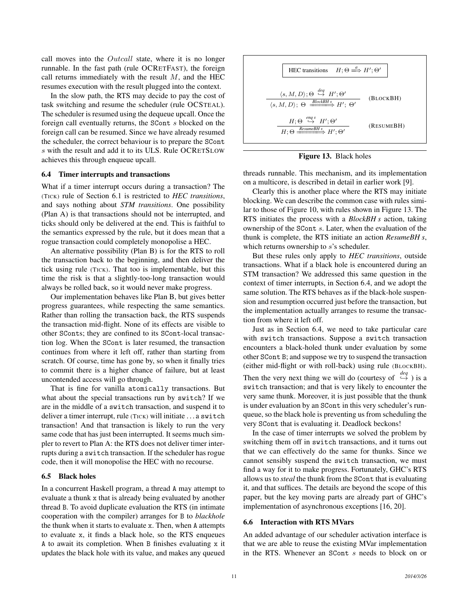call moves into the Outcall state, where it is no longer runnable. In the fast path (rule OCRETFAST), the foreign call returns immediately with the result  $M$ , and the HEC resumes execution with the result plugged into the context.

In the slow path, the RTS may decide to pay the cost of task switching and resume the scheduler (rule OCSTEAL). The scheduler is resumed using the dequeue upcall. Once the foreign call eventually returns, the SCont s blocked on the foreign call can be resumed. Since we have already resumed the scheduler, the correct behaviour is to prepare the SCont s with the result and add it to its ULS. Rule OCRETSLOW achieves this through enqueue upcall.

#### 6.4 Timer interrupts and transactions

What if a timer interrupt occurs during a transaction? The (TICK) rule of Section 6.1 is restricted to *HEC transitions*, and says nothing about *STM transitions*. One possibility (Plan A) is that transactions should not be interrupted, and ticks should only be delivered at the end. This is faithful to the semantics expressed by the rule, but it does mean that a rogue transaction could completely monopolise a HEC.

An alternative possibility (Plan B) is for the RTS to roll the transaction back to the beginning, and then deliver the tick using rule (TICK). That too is implementable, but this time the risk is that a slightly-too-long transaction would always be rolled back, so it would never make progress.

Our implementation behaves like Plan B, but gives better progress guarantees, while respecting the same semantics. Rather than rolling the transaction back, the RTS suspends the transaction mid-flight. None of its effects are visible to other SConts; they are confined to its SCont-local transaction log. When the SCont is later resumed, the transaction continues from where it left off, rather than starting from scratch. Of course, time has gone by, so when it finally tries to commit there is a higher chance of failure, but at least uncontended access will go through.

That is fine for vanilla atomically transactions. But what about the special transactions run by switch? If we are in the middle of a switch transaction, and suspend it to deliver a timer interrupt, rule (TICK) will initiate ... a switch transaction! And that transaction is likely to run the very same code that has just been interrupted. It seems much simpler to revert to Plan A: the RTS does not deliver timer interrupts during a switch transaction. If the scheduler has rogue code, then it will monopolise the HEC with no recourse.

#### 6.5 Black holes

In a concurrent Haskell program, a thread A may attempt to evaluate a thunk x that is already being evaluated by another thread B. To avoid duplicate evaluation the RTS (in intimate cooperation with the compiler) arranges for B to *blackhole* the thunk when it starts to evaluate x. Then, when A attempts to evaluate x, it finds a black hole, so the RTS enqueues A to await its completion. When B finishes evaluating x it updates the black hole with its value, and makes any queued

$$
\boxed{\text{HEC transitions} \quad H; \Theta \stackrel{a}{\iff} H'; \Theta' \quad}
$$
\n
$$
\xrightarrow{\langle s, M, D \rangle; \Theta \stackrel{deg}{\iff} H'; \Theta' \quad \text{(BLockBH)}
$$
\n
$$
\xrightarrow{\langle s, M, D \rangle; \Theta \stackrel{BlockBH \leq \times H'; \Theta' \quad \text{(BLockBH)}
$$
\n
$$
\xrightarrow{H; \Theta \stackrel{eng, s}{\iff} H'; \Theta' \quad \text{(ResUMEBH)}
$$
\n
$$
\overrightarrow{H; \Theta \stackrel{\text{ResumEBH} \leq \times H'; \Theta' \quad \text{(ResUMEBH)}}
$$

Figure 13. Black holes

threads runnable. This mechanism, and its implementation on a multicore, is described in detail in earlier work [9].

Clearly this is another place where the RTS may initiate blocking. We can describe the common case with rules similar to those of Figure 10, with rules shown in Figure 13. The RTS initiates the process with a *BlockBH s* action, taking ownership of the SCont s. Later, when the evaluation of the thunk is complete, the RTS initiate an action *ResumeBH s*, which returns ownership to s's scheduler.

But these rules only apply to *HEC transitions*, outside transactions. What if a black hole is encountered during an STM transaction? We addressed this same question in the context of timer interrupts, in Section 6.4, and we adopt the same solution. The RTS behaves as if the black-hole suspension and resumption occurred just before the transaction, but the implementation actually arranges to resume the transaction from where it left off.

Just as in Section 6.4, we need to take particular care with switch transactions. Suppose a switch transaction encounters a black-holed thunk under evaluation by some other SCont B; and suppose we try to suspend the transaction (either mid-flight or with roll-back) using rule (BLOCKBH). Then the very next thing we will do (courtesy of  $\stackrel{deq}{\hookrightarrow}$ ) is a switch transaction; and that is very likely to encounter the very same thunk. Moreover, it is just possible that the thunk is under evaluation by an SCont in this very scheduler's runqueue, so the black hole is preventing us from scheduling the very SCont that is evaluating it. Deadlock beckons!

In the case of timer interrupts we solved the problem by switching them off in switch transactions, and it turns out that we can effectively do the same for thunks. Since we cannot sensibly suspend the switch transaction, we must find a way for it to make progress. Fortunately, GHC's RTS allows us to *steal* the thunk from the SCont that is evaluating it, and that suffices. The details are beyond the scope of this paper, but the key moving parts are already part of GHC's implementation of asynchronous exceptions [16, 20].

#### 6.6 Interaction with RTS MVars

An added advantage of our scheduler activation interface is that we are able to reuse the existing MVar implementation in the RTS. Whenever an SCont s needs to block on or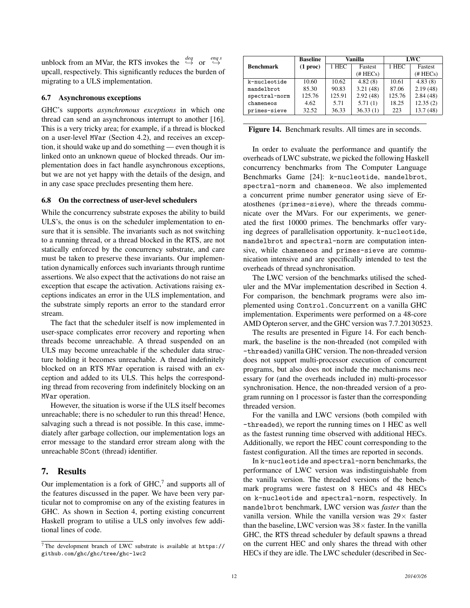unblock from an MVar, the RTS invokes the  $\overset{deg}{\hookrightarrow}$  or  $\overset{engs}{\hookrightarrow}$ upcall, respectively. This significantly reduces the burden of migrating to a ULS implementation.

#### 6.7 Asynchronous exceptions

GHC's supports *asynchronous exceptions* in which one thread can send an asynchronous interrupt to another [16]. This is a very tricky area; for example, if a thread is blocked on a user-level MVar (Section 4.2), and receives an exception, it should wake up and do something — even though it is linked onto an unknown queue of blocked threads. Our implementation does in fact handle asynchronous exceptions, but we are not yet happy with the details of the design, and in any case space precludes presenting them here.

#### 6.8 On the correctness of user-level schedulers

While the concurrency substrate exposes the ability to build ULS's, the onus is on the scheduler implementation to ensure that it is sensible. The invariants such as not switching to a running thread, or a thread blocked in the RTS, are not statically enforced by the concurrency substrate, and care must be taken to preserve these invariants. Our implementation dynamically enforces such invariants through runtime assertions. We also expect that the activations do not raise an exception that escape the activation. Activations raising exceptions indicates an error in the ULS implementation, and the substrate simply reports an error to the standard error stream.

The fact that the scheduler itself is now implemented in user-space complicates error recovery and reporting when threads become unreachable. A thread suspended on an ULS may become unreachable if the scheduler data structure holding it becomes unreachable. A thread indefinitely blocked on an RTS MVar operation is raised with an exception and added to its ULS. This helps the corresponding thread from recovering from indefinitely blocking on an MVar operation.

However, the situation is worse if the ULS itself becomes unreachable; there is no scheduler to run this thread! Hence, salvaging such a thread is not possible. In this case, immediately after garbage collection, our implementation logs an error message to the standard error stream along with the unreachable SCont (thread) identifier.

# 7. Results

Our implementation is a fork of  $GHC<sub>1</sub><sup>7</sup>$  and supports all of the features discussed in the paper. We have been very particular not to compromise on any of the existing features in GHC. As shown in Section 4, porting existing concurrent Haskell program to utilise a ULS only involves few additional lines of code.

|                  | <b>Baseline</b> | Vanilla |            | LWC    |          |
|------------------|-----------------|---------|------------|--------|----------|
| <b>Benchmark</b> | $(1$ proc $)$   | 1 HEC   | Fastest    | 1 HEC  | Fastest  |
|                  |                 |         | $(\#HECs)$ |        | #HECs    |
| k-nucleotide     | 10.60           | 10.62   | 4.82(8)    | 10.61  | 4.83(8)  |
| mandelbrot       | 85.30           | 90.83   | 3.21(48)   | 87.06  | 2.19(48) |
| spectral-norm    | 125.76          | 125.91  | 2.92(48)   | 125.76 | 2.84(48) |
| chameneos        | 4.62            | 5.71    | 5.71(1)    | 18.25  | 12.35(2) |
| primes-sieve     | 32.52           | 36.33   | 36.33(1)   | 223    | 13.7(48) |

Figure 14. Benchmark results. All times are in seconds.

In order to evaluate the performance and quantify the overheads of LWC substrate, we picked the following Haskell concurrency benchmarks from The Computer Language Benchmarks Game [24]: k-nucleotide, mandelbrot, spectral-norm and chameneos. We also implemented a concurrent prime number generator using sieve of Eratosthenes (primes-sieve), where the threads communicate over the MVars. For our experiments, we generated the first 10000 primes. The benchmarks offer varying degrees of parallelisation opportunity. k-nucleotide, mandelbrot and spectral-norm are computation intensive, while chameneos and primes-sieve are communication intensive and are specifically intended to test the overheads of thread synchronisation.

The LWC version of the benchmarks utilised the scheduler and the MVar implementation described in Section 4. For comparison, the benchmark programs were also implemented using Control.Concurrent on a vanilla GHC implementation. Experiments were performed on a 48-core AMD Opteron server, and the GHC version was 7.7.20130523.

The results are presented in Figure 14. For each benchmark, the baseline is the non-threaded (not compiled with -threaded) vanilla GHC version. The non-threaded version does not support multi-processor execution of concurrent programs, but also does not include the mechanisms necessary for (and the overheads included in) multi-processor synchronisation. Hence, the non-threaded version of a program running on 1 processor is faster than the corresponding threaded version.

For the vanilla and LWC versions (both compiled with -threaded), we report the running times on 1 HEC as well as the fastest running time observed with additional HECs. Additionally, we report the HEC count corresponding to the fastest configuration. All the times are reported in seconds.

In k-nucleotide and spectral-norm benchmarks, the performance of LWC version was indistinguishable from the vanilla version. The threaded versions of the benchmark programs were fastest on 8 HECs and 48 HECs on k-nucleotide and spectral-norm, respectively. In mandelbrot benchmark, LWC version was *faster* than the vanilla version. While the vanilla version was  $29\times$  faster than the baseline, LWC version was  $38\times$  faster. In the vanilla GHC, the RTS thread scheduler by default spawns a thread on the current HEC and only shares the thread with other HECs if they are idle. The LWC scheduler (described in Sec-

 $\frac{7}{7}$ The development branch of LWC substrate is available at https:// github.com/ghc/ghc/tree/ghc-lwc2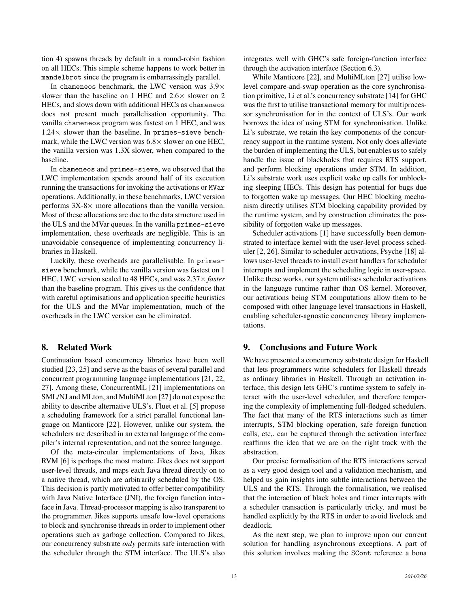tion 4) spawns threads by default in a round-robin fashion on all HECs. This simple scheme happens to work better in mandelbrot since the program is embarrassingly parallel.

In chameneos benchmark, the LWC version was  $3.9\times$ slower than the baseline on 1 HEC and  $2.6\times$  slower on 2 HECs, and slows down with additional HECs as chameneos does not present much parallelisation opportunity. The vanilla chameneos program was fastest on 1 HEC, and was  $1.24 \times$  slower than the baseline. In primes-sieve benchmark, while the LWC version was  $6.8\times$  slower on one HEC, the vanilla version was 1.3X slower, when compared to the baseline.

In chameneos and primes-sieve, we observed that the LWC implementation spends around half of its execution running the transactions for invoking the activations or MVar operations. Additionally, in these benchmarks, LWC version performs  $3X-8\times$  more allocations than the vanilla version. Most of these allocations are due to the data structure used in the ULS and the MVar queues. In the vanilla primes-sieve implementation, these overheads are negligible. This is an unavoidable consequence of implementing concurrency libraries in Haskell.

Luckily, these overheads are parallelisable. In primessieve benchmark, while the vanilla version was fastest on 1 HEC, LWC version scaled to 48 HECs, and was 2.37× *faster* than the baseline program. This gives us the confidence that with careful optimisations and application specific heuristics for the ULS and the MVar implementation, much of the overheads in the LWC version can be eliminated.

# 8. Related Work

Continuation based concurrency libraries have been well studied [23, 25] and serve as the basis of several parallel and concurrent programming language implementations [21, 22, 27]. Among these, ConcurrentML [21] implementations on SML/NJ and MLton, and MultiMLton [27] do not expose the ability to describe alternative ULS's. Fluet et al. [5] propose a scheduling framework for a strict parallel functional language on Manticore [22]. However, unlike our system, the schedulers are described in an external language of the compiler's internal representation, and not the source language.

Of the meta-circular implementations of Java, Jikes RVM [6] is perhaps the most mature. Jikes does not support user-level threads, and maps each Java thread directly on to a native thread, which are arbitrarily scheduled by the OS. This decision is partly motivated to offer better compatibility with Java Native Interface (JNI), the foreign function interface in Java. Thread-processor mapping is also transparent to the programmer. Jikes supports unsafe low-level operations to block and synchronise threads in order to implement other operations such as garbage collection. Compared to Jikes, our concurrency substrate *only* permits safe interaction with the scheduler through the STM interface. The ULS's also

integrates well with GHC's safe foreign-function interface through the activation interface (Section 6.3).

While Manticore [22], and MultiMLton [27] utilise lowlevel compare-and-swap operation as the core synchronisation primitive, Li et al.'s concurrency substrate [14] for GHC was the first to utilise transactional memory for multiprocessor synchronisation for in the context of ULS's. Our work borrows the idea of using STM for synchronisation. Unlike Li's substrate, we retain the key components of the concurrency support in the runtime system. Not only does alleviate the burden of implementing the ULS, but enables us to safely handle the issue of blackholes that requires RTS support, and perform blocking operations under STM. In addition, Li's substrate work uses explicit wake up calls for unblocking sleeping HECs. This design has potential for bugs due to forgotten wake up messages. Our HEC blocking mechanism directly utilises STM blocking capability provided by the runtime system, and by construction eliminates the possibility of forgotten wake up messages.

Scheduler activations [1] have successfully been demonstrated to interface kernel with the user-level process scheduler [2, 26]. Similar to scheduler activations, Psyche [18] allows user-level threads to install event handlers for scheduler interrupts and implement the scheduling logic in user-space. Unlike these works, our system utilises scheduler activations in the language runtime rather than OS kernel. Moreover, our activations being STM computations allow them to be composed with other language level transactions in Haskell, enabling scheduler-agnostic concurrency library implementations.

# 9. Conclusions and Future Work

We have presented a concurrency substrate design for Haskell that lets programmers write schedulers for Haskell threads as ordinary libraries in Haskell. Through an activation interface, this design lets GHC's runtime system to safely interact with the user-level scheduler, and therefore tempering the complexity of implementing full-fledged schedulers. The fact that many of the RTS interactions such as timer interrupts, STM blocking operation, safe foreign function calls, etc,. can be captured through the activation interface reaffirms the idea that we are on the right track with the abstraction.

Our precise formalisation of the RTS interactions served as a very good design tool and a validation mechanism, and helped us gain insights into subtle interactions between the ULS and the RTS. Through the formalisation, we realised that the interaction of black holes and timer interrupts with a scheduler transaction is particularly tricky, and must be handled explicitly by the RTS in order to avoid livelock and deadlock.

As the next step, we plan to improve upon our current solution for handling asynchronous exceptions. A part of this solution involves making the SCont reference a bona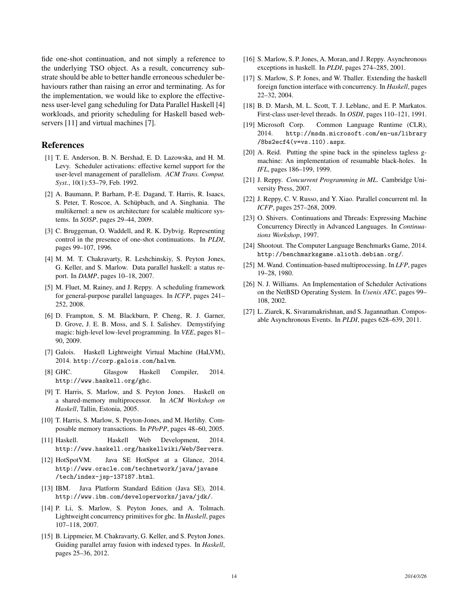fide one-shot continuation, and not simply a reference to the underlying TSO object. As a result, concurrency substrate should be able to better handle erroneous scheduler behaviours rather than raising an error and terminating. As for the implementation, we would like to explore the effectiveness user-level gang scheduling for Data Parallel Haskell [4] workloads, and priority scheduling for Haskell based webservers [11] and virtual machines [7].

## References

- [1] T. E. Anderson, B. N. Bershad, E. D. Lazowska, and H. M. Levy. Scheduler activations: effective kernel support for the user-level management of parallelism. *ACM Trans. Comput. Syst.*, 10(1):53–79, Feb. 1992.
- [2] A. Baumann, P. Barham, P.-E. Dagand, T. Harris, R. Isaacs, S. Peter, T. Roscoe, A. Schüpbach, and A. Singhania. The multikernel: a new os architecture for scalable multicore systems. In *SOSP*, pages 29–44, 2009.
- [3] C. Bruggeman, O. Waddell, and R. K. Dybvig. Representing control in the presence of one-shot continuations. In *PLDI*, pages 99–107, 1996.
- [4] M. M. T. Chakravarty, R. Leshchinskiy, S. Peyton Jones, G. Keller, and S. Marlow. Data parallel haskell: a status report. In *DAMP*, pages 10–18, 2007.
- [5] M. Fluet, M. Rainey, and J. Reppy. A scheduling framework for general-purpose parallel languages. In *ICFP*, pages 241– 252, 2008.
- [6] D. Frampton, S. M. Blackburn, P. Cheng, R. J. Garner, D. Grove, J. E. B. Moss, and S. I. Salishev. Demystifying magic: high-level low-level programming. In *VEE*, pages 81– 90, 2009.
- [7] Galois. Haskell Lightweight Virtual Machine (HaLVM), 2014. http://corp.galois.com/halvm.
- [8] GHC. Glasgow Haskell Compiler, 2014. http://www.haskell.org/ghc.
- [9] T. Harris, S. Marlow, and S. Peyton Jones. Haskell on a shared-memory multiprocessor. In *ACM Workshop on Haskell*, Tallin, Estonia, 2005.
- [10] T. Harris, S. Marlow, S. Peyton-Jones, and M. Herlihy. Composable memory transactions. In *PPoPP*, pages 48–60, 2005.
- [11] Haskell. Haskell Web Development, 2014. http://www.haskell.org/haskellwiki/Web/Servers.
- [12] HotSpotVM. Java SE HotSpot at a Glance, 2014. http://www.oracle.com/technetwork/java/javase /tech/index-jsp-137187.html.
- [13] IBM. Java Platform Standard Edition (Java SE), 2014. http://www.ibm.com/developerworks/java/jdk/.
- [14] P. Li, S. Marlow, S. Peyton Jones, and A. Tolmach. Lightweight concurrency primitives for ghc. In *Haskell*, pages 107–118, 2007.
- [15] B. Lippmeier, M. Chakravarty, G. Keller, and S. Peyton Jones. Guiding parallel array fusion with indexed types. In *Haskell*, pages 25–36, 2012.
- [16] S. Marlow, S. P. Jones, A. Moran, and J. Reppy. Asynchronous exceptions in haskell. In *PLDI*, pages 274–285, 2001.
- [17] S. Marlow, S. P. Jones, and W. Thaller. Extending the haskell foreign function interface with concurrency. In *Haskell*, pages 22–32, 2004.
- [18] B. D. Marsh, M. L. Scott, T. J. Leblanc, and E. P. Markatos. First-class user-level threads. In *OSDI*, pages 110–121, 1991.
- [19] Microsoft Corp. Common Language Runtime (CLR), 2014. http://msdn.microsoft.com/en-us/library /8bs2ecf4(v=vs.110).aspx.
- [20] A. Reid. Putting the spine back in the spineless tagless gmachine: An implementation of resumable black-holes. In *IFL*, pages 186–199, 1999.
- [21] J. Reppy. *Concurrent Programming in ML*. Cambridge University Press, 2007.
- [22] J. Reppy, C. V. Russo, and Y. Xiao. Parallel concurrent ml. In *ICFP*, pages 257–268, 2009.
- [23] O. Shivers. Continuations and Threads: Expressing Machine Concurrency Directly in Advanced Languages. In *Continuations Workshop*, 1997.
- [24] Shootout. The Computer Language Benchmarks Game, 2014. http://benchmarksgame.alioth.debian.org/.
- [25] M. Wand. Continuation-based multiprocessing. In *LFP*, pages 19–28, 1980.
- [26] N. J. Williams. An Implementation of Scheduler Activations on the NetBSD Operating System. In *Usenix ATC*, pages 99– 108, 2002.
- [27] L. Ziarek, K. Sivaramakrishnan, and S. Jagannathan. Composable Asynchronous Events. In *PLDI*, pages 628–639, 2011.